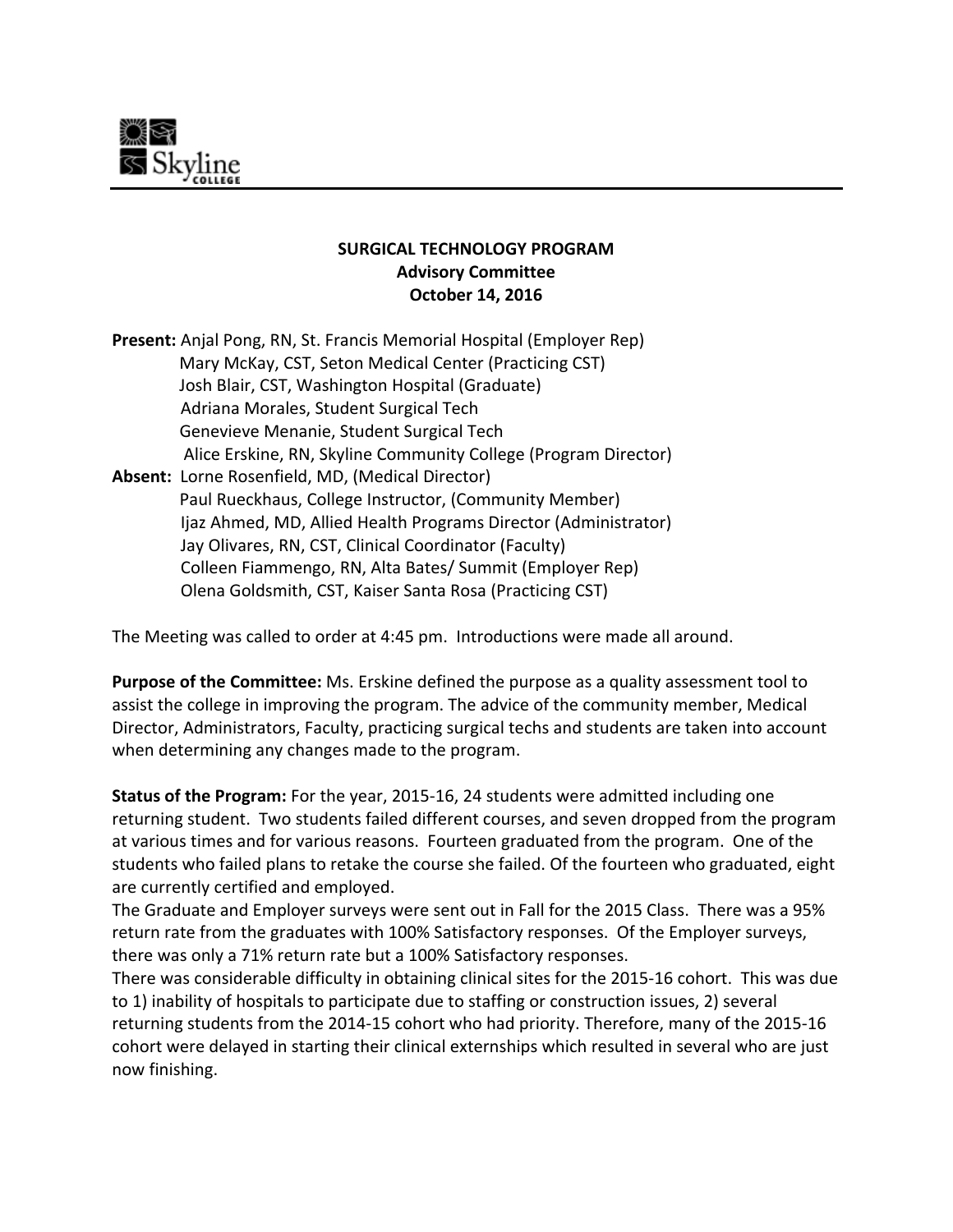

## **SURGICAL TECHNOLOGY PROGRAM Advisory Committee October 14, 2016**

| Present: Anjal Pong, RN, St. Francis Memorial Hospital (Employer Rep) |
|-----------------------------------------------------------------------|
| Mary McKay, CST, Seton Medical Center (Practicing CST)                |
| Josh Blair, CST, Washington Hospital (Graduate)                       |
| Adriana Morales, Student Surgical Tech                                |
| Genevieve Menanie, Student Surgical Tech                              |
| Alice Erskine, RN, Skyline Community College (Program Director)       |
| Absent: Lorne Rosenfield, MD, (Medical Director)                      |
| Paul Rueckhaus, College Instructor, (Community Member)                |
| Ijaz Ahmed, MD, Allied Health Programs Director (Administrator)       |
| Jay Olivares, RN, CST, Clinical Coordinator (Faculty)                 |
| Colleen Fiammengo, RN, Alta Bates/ Summit (Employer Rep)              |
| Olena Goldsmith, CST, Kaiser Santa Rosa (Practicing CST)              |

The Meeting was called to order at 4:45 pm. Introductions were made all around.

**Purpose of the Committee:** Ms. Erskine defined the purpose as a quality assessment tool to assist the college in improving the program. The advice of the community member, Medical Director, Administrators, Faculty, practicing surgical techs and students are taken into account when determining any changes made to the program.

**Status of the Program:** For the year, 2015‐16, 24 students were admitted including one returning student. Two students failed different courses, and seven dropped from the program at various times and for various reasons. Fourteen graduated from the program. One of the students who failed plans to retake the course she failed. Of the fourteen who graduated, eight are currently certified and employed.

The Graduate and Employer surveys were sent out in Fall for the 2015 Class. There was a 95% return rate from the graduates with 100% Satisfactory responses. Of the Employer surveys, there was only a 71% return rate but a 100% Satisfactory responses.

There was considerable difficulty in obtaining clinical sites for the 2015‐16 cohort. This was due to 1) inability of hospitals to participate due to staffing or construction issues, 2) several returning students from the 2014‐15 cohort who had priority. Therefore, many of the 2015‐16 cohort were delayed in starting their clinical externships which resulted in several who are just now finishing.